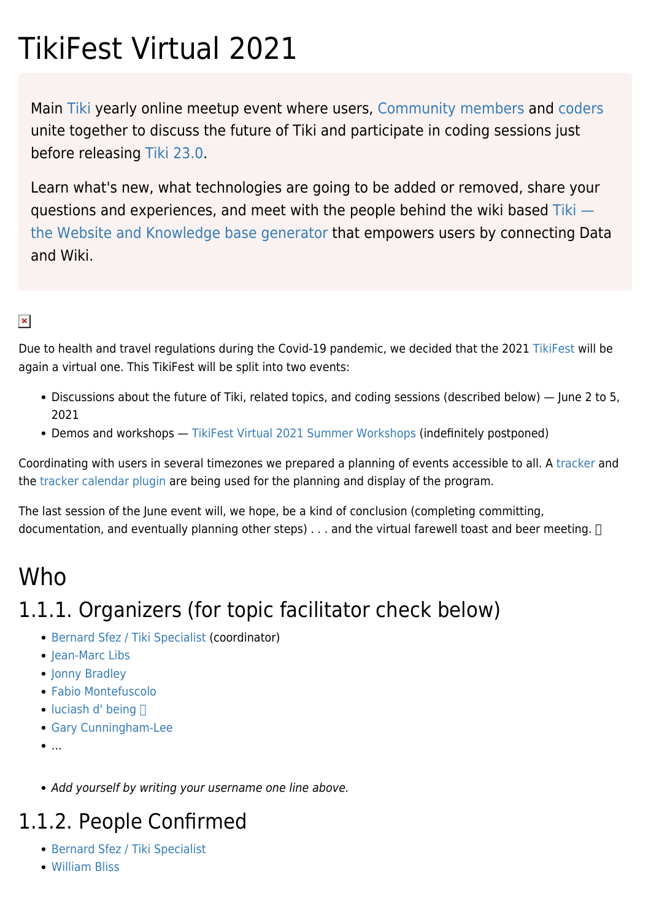# TikiFest Virtual 2021

Main [Tiki](https://tiki.org) yearly online meetup event where users, [Community members](https://tiki.org/Community) and [coders](https://dev.tiki.org/) unite together to discuss the future of Tiki and participate in coding sessions just before releasing [Tiki 23.0](https://doc.org/tiki23).

Learn what's new, what technologies are going to be added or removed, share your questions and experiences, and meet with the people behind the wiki based [Tiki](https://tiki.org/Features)  [the Website and Knowledge base generator](https://tiki.org/Features) that empowers users by connecting Data and Wiki.

#### $\pmb{\times}$

Due to health and travel regulations during the Covid-19 pandemic, we decided that the 2021 [TikiFest](https://suite.tiki.org/TikiFest) will be again a virtual one. This TikiFest will be split into two events:

- Discussions about the future of Tiki, related topics, and coding sessions (described below) June 2 to 5, 2021
- Demos and workshops [TikiFest Virtual 2021 Summer Workshops](https://suite.tiki.org/TikiFest-Virtual-2021-Summer-Workshops) (indefinitely postponed)

Coordinating with users in several timezones we prepared a planning of events accessible to all. A [tracker](http://doc.tiki.org/Trackers) and the [tracker calendar plugin](http://doc.tiki.org/PluginTrackerCalendar) are being used for the planning and display of the program.

The last session of the June event will, we hope, be a kind of conclusion (completing committing, documentation, and eventually planning other steps) . . . and the virtual farewell toast and beer meeting.  $\Box$ 

### Who

# 1.1.1. Organizers (for topic facilitator check below)

- [Bernard Sfez / Tiki Specialist](https://suite.tiki.org/user1974) (coordinator)
- Iean-Marc Libs
- [Jonny Bradley](https://suite.tiki.org/user8515)
- [Fabio Montefuscolo](https://suite.tiki.org/user34087)
- $\bullet$  [luciash d' being](https://suite.tiki.org/user199)  $\Box$
- [Gary Cunningham-Lee](https://suite.tiki.org/user342)
- $\bullet$ ...
- Add yourself by writing your username one line above.

### 1.1.2. People Confirmed

- [Bernard Sfez / Tiki Specialist](https://suite.tiki.org/user1974)
- [William Bliss](https://suite.tiki.org/user33560)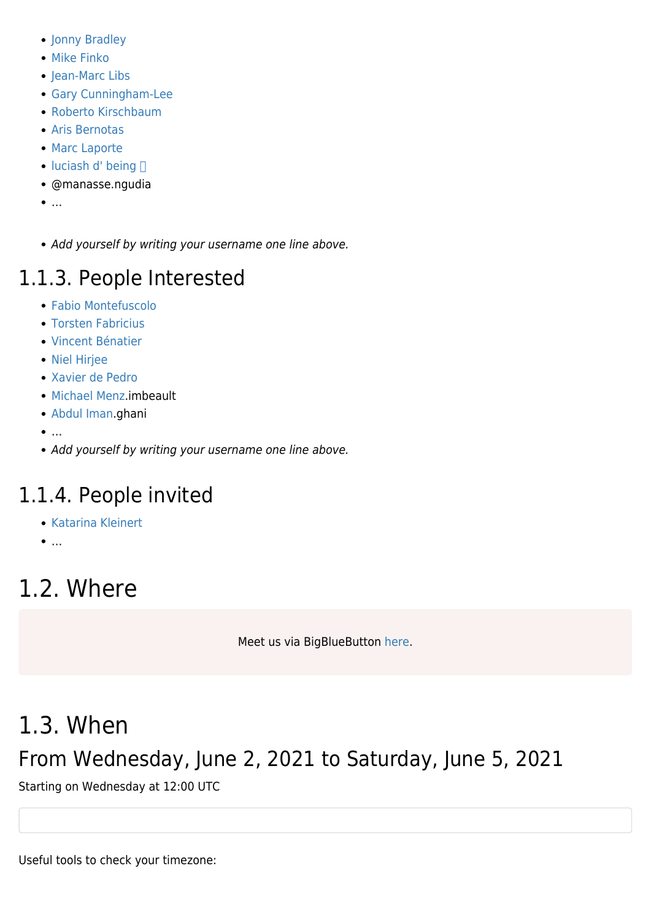- [Jonny Bradley](https://suite.tiki.org/user8515)
- [Mike Finko](https://suite.tiki.org/user31941)
- [Jean-Marc Libs](https://suite.tiki.org/user12666)
- [Gary Cunningham-Lee](https://suite.tiki.org/user342)
- [Roberto Kirschbaum](https://suite.tiki.org/user34542)
- [Aris Bernotas](https://suite.tiki.org/user9051)
- [Marc Laporte](https://suite.tiki.org/user10)
- $\bullet$  [luciash d' being](https://suite.tiki.org/user199)  $\Box$
- @manasse.ngudia
- $\bullet$  ...
- Add yourself by writing your username one line above.

# 1.1.3. People Interested

- [Fabio Montefuscolo](https://suite.tiki.org/user34087)
- **[Torsten Fabricius](https://suite.tiki.org/user19665)**
- [Vincent Bénatier](https://suite.tiki.org/user38286)
- [Niel Hirjee](https://suite.tiki.org/user23866)
- [Xavier de Pedro](https://suite.tiki.org/user10196)
- [Michael Menz](https://suite.tiki.org/user38800).imbeault
- [Abdul Iman](https://suite.tiki.org/user37166).ghani
- $\bullet$  ...
- Add yourself by writing your username one line above.

# 1.1.4. People invited

- [Katarina Kleinert](https://suite.tiki.org/user38209)
- $\bullet$  ...

# 1.2. Where

Meet us via BigBlueButton [here](https://suite.tiki.org/Live).

# 1.3. When

# From Wednesday, June 2, 2021 to Saturday, June 5, 2021

Starting on Wednesday at 12:00 UTC

Useful tools to check your timezone: